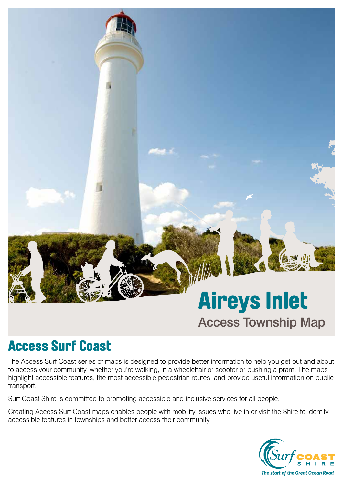# Aireys Inlet Access Township Map

## Access Surf Coast

The Access Surf Coast series of maps is designed to provide better information to help you get out and about to access your community, whether you're walking, in a wheelchair or scooter or pushing a pram. The maps highlight accessible features, the most accessible pedestrian routes, and provide useful information on public transport.

Surf Coast Shire is committed to promoting accessible and inclusive services for all people.

Creating Access Surf Coast maps enables people with mobility issues who live in or visit the Shire to identify accessible features in townships and better access their community.

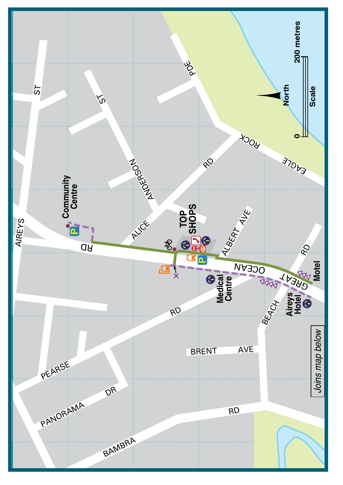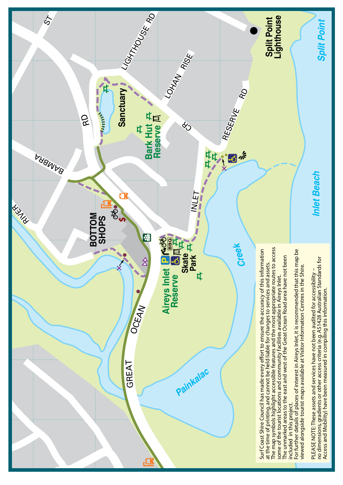